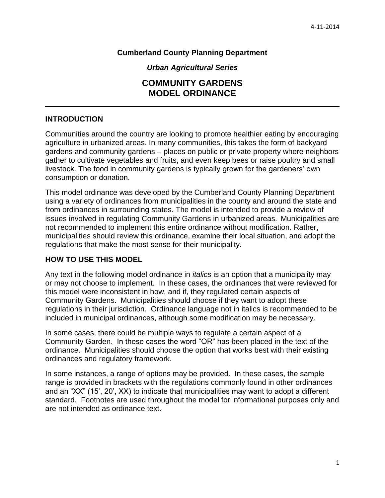# **Cumberland County Planning Department**

*Urban Agricultural Series*

# **COMMUNITY GARDENS MODEL ORDINANCE**

# **INTRODUCTION**

Communities around the country are looking to promote healthier eating by encouraging agriculture in urbanized areas. In many communities, this takes the form of backyard gardens and community gardens – places on public or private property where neighbors gather to cultivate vegetables and fruits, and even keep bees or raise poultry and small livestock. The food in community gardens is typically grown for the gardeners' own consumption or donation.

This model ordinance was developed by the Cumberland County Planning Department using a variety of ordinances from municipalities in the county and around the state and from ordinances in surrounding states. The model is intended to provide a review of issues involved in regulating Community Gardens in urbanized areas. Municipalities are not recommended to implement this entire ordinance without modification. Rather, municipalities should review this ordinance, examine their local situation, and adopt the regulations that make the most sense for their municipality.

# **HOW TO USE THIS MODEL**

Any text in the following model ordinance in *italics* is an option that a municipality may or may not choose to implement. In these cases, the ordinances that were reviewed for this model were inconsistent in how, and if, they regulated certain aspects of Community Gardens. Municipalities should choose if they want to adopt these regulations in their jurisdiction. Ordinance language not in italics is recommended to be included in municipal ordinances, although some modification may be necessary.

In some cases, there could be multiple ways to regulate a certain aspect of a Community Garden. In these cases the word "OR" has been placed in the text of the ordinance. Municipalities should choose the option that works best with their existing ordinances and regulatory framework.

In some instances, a range of options may be provided. In these cases, the sample range is provided in brackets with the regulations commonly found in other ordinances and an "XX" (15', 20', XX) to indicate that municipalities may want to adopt a different standard. Footnotes are used throughout the model for informational purposes only and are not intended as ordinance text.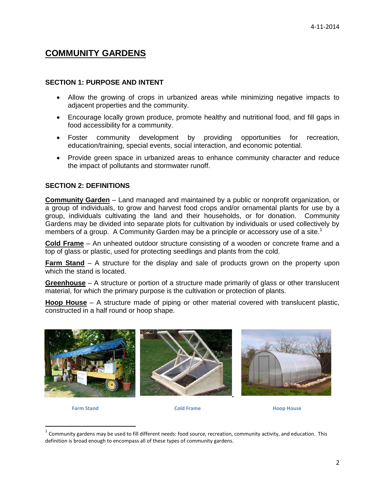# **COMMUNITY GARDENS**

#### **SECTION 1: PURPOSE AND INTENT**

- Allow the growing of crops in urbanized areas while minimizing negative impacts to adjacent properties and the community.
- Encourage locally grown produce, promote healthy and nutritional food, and fill gaps in food accessibility for a community.
- Foster community development by providing opportunities for recreation, education/training, special events, social interaction, and economic potential.
- Provide green space in urbanized areas to enhance community character and reduce the impact of pollutants and stormwater runoff.

#### **SECTION 2: DEFINITIONS**

**Community Garden** – Land managed and maintained by a public or nonprofit organization, or a group of individuals, to grow and harvest food crops and/or ornamental plants for use by a group, individuals cultivating the land and their households, or for donation. Community Gardens may be divided into separate plots for cultivation by individuals or used collectively by members of a group. A Community Garden may be a principle or accessory use of a site.<sup>1</sup>

**Cold Frame** – An unheated outdoor structure consisting of a wooden or concrete frame and a top of glass or plastic, used for protecting seedlings and plants from the cold.

**Farm Stand** – A structure for the display and sale of products grown on the property upon which the stand is located.

**Greenhouse** – A structure or portion of a structure made primarily of glass or other translucent material, for which the primary purpose is the cultivation or protection of plants.

**Hoop House** – A structure made of piping or other material covered with translucent plastic, constructed in a half round or hoop shape.



 $\overline{\phantom{a}}$ 

**Farm Stand Cold Frame Hoop House**

 $^1$  Community gardens may be used to fill different needs: food source, recreation, community activity, and education. This definition is broad enough to encompass all of these types of community gardens.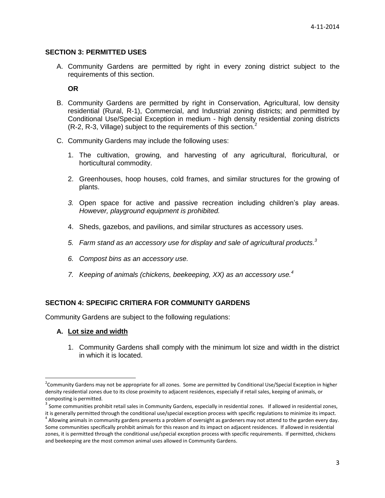#### **SECTION 3: PERMITTED USES**

A. Community Gardens are permitted by right in every zoning district subject to the requirements of this section.

**OR**

- B. Community Gardens are permitted by right in Conservation, Agricultural, low density residential (Rural, R-1), Commercial, and Industrial zoning districts; and permitted by Conditional Use/Special Exception in medium - high density residential zoning districts (R-2, R-3, Village) subject to the requirements of this section.<sup>2</sup>
- C. Community Gardens may include the following uses:
	- 1. The cultivation, growing, and harvesting of any agricultural, floricultural, or horticultural commodity.
	- 2. Greenhouses, hoop houses, cold frames, and similar structures for the growing of plants.
	- *3.* Open space for active and passive recreation including children's play areas. *However, playground equipment is prohibited.*
	- 4. Sheds, gazebos, and pavilions, and similar structures as accessory uses.
	- *5. Farm stand as an accessory use for display and sale of agricultural products. 3*
	- *6. Compost bins as an accessory use.*
	- *7. Keeping of animals (chickens, beekeeping, XX) as an accessory use.<sup>4</sup>*

#### **SECTION 4: SPECIFIC CRITIERA FOR COMMUNITY GARDENS**

Community Gardens are subject to the following regulations:

#### **A. Lot size and width**

 $\overline{\phantom{a}}$ 

1. Community Gardens shall comply with the minimum lot size and width in the district in which it is located.

<sup>&</sup>lt;sup>2</sup>Community Gardens may not be appropriate for all zones. Some are permitted by Conditional Use/Special Exception in higher density residential zones due to its close proximity to adjacent residences, especially if retail sales, keeping of animals, or composting is permitted.

 $^3$  Some communities prohibit retail sales in Community Gardens, especially in residential zones. If allowed in residential zones, it is generally permitted through the conditional use/special exception process with specific regulations to minimize its impact.

 $^4$  Allowing animals in community gardens presents a problem of oversight as gardeners may not attend to the garden every day. Some communities specifically prohibit animals for this reason and its impact on adjacent residences. If allowed in residential zones, it is permitted through the conditional use/special exception process with specific requirements. If permitted, chickens and beekeeping are the most common animal uses allowed in Community Gardens.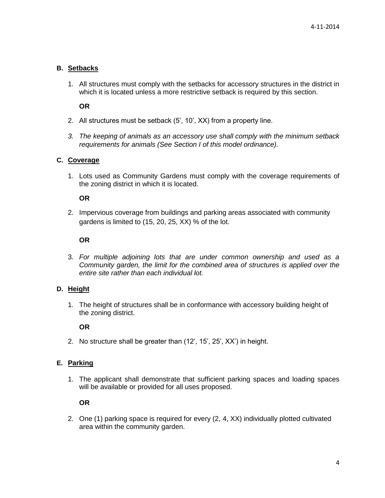# **B. Setbacks**

1. All structures must comply with the setbacks for accessory structures in the district in which it is located unless a more restrictive setback is required by this section.

**OR**

- 2. All structures must be setback (5', 10', XX) from a property line.
- *3. The keeping of animals as an accessory use shall comply with the minimum setback requirements for animals (See Section I of this model ordinance).*

#### **C. Coverage**

1. Lots used as Community Gardens must comply with the coverage requirements of the zoning district in which it is located.

## **OR**

2. Impervious coverage from buildings and parking areas associated with community gardens is limited to (15, 20, 25, XX) % of the lot.

## **OR**

3. *For multiple adjoining lots that are under common ownership and used as a Community garden, the limit for the combined area of structures is applied over the entire site rather than each individual lot.*

## **D. Height**

1. The height of structures shall be in conformance with accessory building height of the zoning district.

**OR**

2. No structure shall be greater than (12', 15', 25', XX') in height.

## **E. Parking**

1. The applicant shall demonstrate that sufficient parking spaces and loading spaces will be available or provided for all uses proposed.

**OR**

2. One (1) parking space is required for every (2, 4, XX) individually plotted cultivated area within the community garden.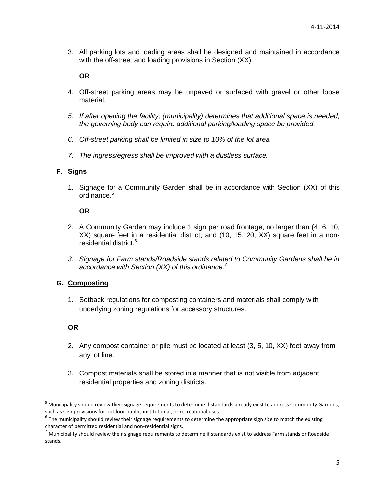3. All parking lots and loading areas shall be designed and maintained in accordance with the off-street and loading provisions in Section (XX).

#### **OR**

- 4. Off-street parking areas may be unpaved or surfaced with gravel or other loose material.
- *5. If after opening the facility, (municipality) determines that additional space is needed, the governing body can require additional parking/loading space be provided.*
- *6. Off-street parking shall be limited in size to 10% of the lot area.*
- *7. The ingress/egress shall be improved with a dustless surface.*

## **F. Signs**

1. Signage for a Community Garden shall be in accordance with Section (XX) of this ordinance.<sup>5</sup>

#### **OR**

- 2. A Community Garden may include 1 sign per road frontage, no larger than (4, 6, 10, XX) square feet in a residential district; and (10, 15, 20, XX) square feet in a nonresidential district. 6
- *3. Signage for Farm stands/Roadside stands related to Community Gardens shall be in accordance with Section (XX) of this ordinance.<sup>7</sup>*

# **G. Composting**

1. Setback regulations for composting containers and materials shall comply with underlying zoning regulations for accessory structures.

#### **OR**

- 2. Any compost container or pile must be located at least (3, 5, 10, XX) feet away from any lot line.
- 3. Compost materials shall be stored in a manner that is not visible from adjacent residential properties and zoning districts.

l <sup>5</sup> Municipality should review their signage requirements to determine if standards already exist to address Community Gardens, such as sign provisions for outdoor public, institutional, or recreational uses.

 $^6$  The municipality should review their signage requirements to determine the appropriate sign size to match the existing character of permitted residential and non-residential signs.

 $'$  Municipality should review their signage requirements to determine if standards exist to address Farm stands or Roadside stands.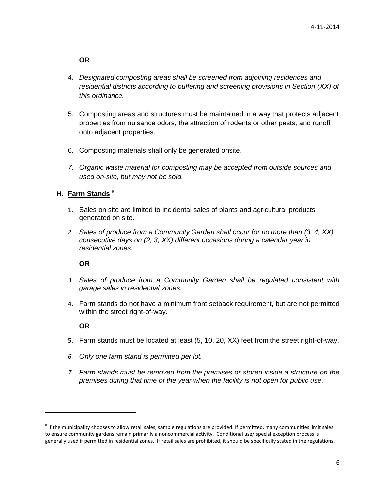**OR**

- *4. Designated composting areas shall be screened from adjoining residences and residential districts according to buffering and screening provisions in Section (XX) of this ordinance.*
- 5. Composting areas and structures must be maintained in a way that protects adjacent properties from nuisance odors, the attraction of rodents or other pests, and runoff onto adjacent properties.
- 6. Composting materials shall only be generated onsite.
- *7. Organic waste material for composting may be accepted from outside sources and used on-site, but may not be sold.*

# **H. Farm Stands** <sup>8</sup>

- 1. Sales on site are limited to incidental sales of plants and agricultural products generated on site.
- *2. Sales of produce from a Community Garden shall occur for no more than (3, 4, XX) consecutive days on (2, 3, XX) different occasions during a calendar year in residential zones.*

## **OR**

- *3. Sales of produce from a Community Garden shall be regulated consistent with garage sales in residential zones.*
- 4. Farm stands do not have a minimum front setback requirement, but are not permitted within the street right-of-way.

## . **OR**

 $\overline{a}$ 

- 5. Farm stands must be located at least (5, 10, 20, XX) feet from the street right-of-way.
- *6. Only one farm stand is permitted per lot.*
- *7. Farm stands must be removed from the premises or stored inside a structure on the premises during that time of the year when the facility is not open for public use.*

 $^8$  If the municipality chooses to allow retail sales, sample regulations are provided. If permitted, many communities limit sales to ensure community gardens remain primarily a noncommercial activity. Conditional use/ special exception process is generally used if permitted in residential zones. If retail sales are prohibited, it should be specifically stated in the regulations.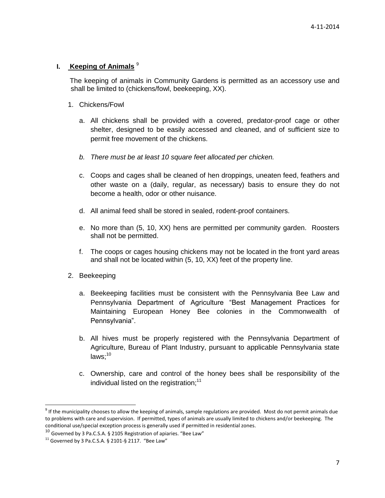## **I. Keeping of Animals** <sup>9</sup>

The keeping of animals in Community Gardens is permitted as an accessory use and shall be limited to (chickens/fowl, beekeeping, XX).

- 1. Chickens/Fowl
	- a. All chickens shall be provided with a covered, predator-proof cage or other shelter, designed to be easily accessed and cleaned, and of sufficient size to permit free movement of the chickens.
	- *b. There must be at least 10 square feet allocated per chicken.*
	- c. Coops and cages shall be cleaned of hen droppings, uneaten feed, feathers and other waste on a (daily, regular, as necessary) basis to ensure they do not become a health, odor or other nuisance.
	- d. All animal feed shall be stored in sealed, rodent-proof containers.
	- e. No more than (5, 10, XX) hens are permitted per community garden. Roosters shall not be permitted.
	- f. The coops or cages housing chickens may not be located in the front yard areas and shall not be located within (5, 10, XX) feet of the property line.
- 2. Beekeeping
	- a. Beekeeping facilities must be consistent with the Pennsylvania Bee Law and Pennsylvania Department of Agriculture "Best Management Practices for Maintaining European Honey Bee colonies in the Commonwealth of Pennsylvania".
	- b. All hives must be properly registered with the Pennsylvania Department of Agriculture, Bureau of Plant Industry, pursuant to applicable Pennsylvania state  $laws:10$
	- c. Ownership, care and control of the honey bees shall be responsibility of the individual listed on the registration; $11$

 $\overline{\phantom{a}}$ 

 $^9$  If the municipality chooses to allow the keeping of animals, sample regulations are provided. Most do not permit animals due to problems with care and supervision. If permitted, types of animals are usually limited to chickens and/or beekeeping. The conditional use/special exception process is generally used if permitted in residential zones.

 $10$  Governed by 3 Pa.C.S.A. § 2105 Registration of apiaries. "Bee Law"

 $11$  Governed by 3 Pa.C.S.A. § 2101-§ 2117. "Bee Law"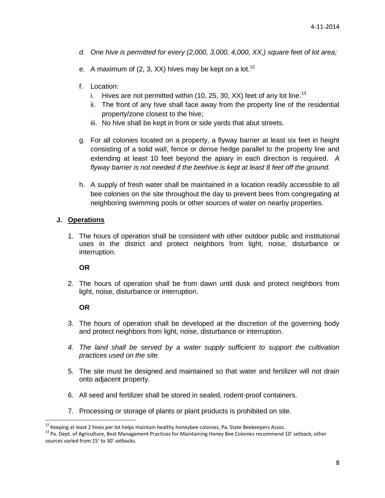- *d. One hive is permitted for every (2,000, 3,000, 4,000, XX,) square feet of lot area;*
- e. A maximum of (2, 3, XX) hives may be kept on a lot.<sup>12</sup>
- f. Location:
	- i. Hives are not permitted within (10, 25, 30, XX) feet of any lot line.<sup>13</sup>
	- ii. The front of any hive shall face away from the property line of the residential property/zone closest to the hive;
	- iii. No hive shall be kept in front or side yards that abut streets.
- g. For all colonies located on a property, a flyway barrier at least six feet in height consisting of a solid wall, fence or dense hedge parallel to the property line and extending at least 10 feet beyond the apiary in each direction is required. *A flyway barrier is not needed if the beehive is kept at least 8 feet off the ground.*
- h. A supply of fresh water shall be maintained in a location readily accessible to all bee colonies on the site throughout the day to prevent bees from congregating at neighboring swimming pools or other sources of water on nearby properties.

#### **J. Operations**

1. The hours of operation shall be consistent with other outdoor public and institutional uses in the district and protect neighbors from light, noise, disturbance or interruption.

#### **OR**

2. The hours of operation shall be from dawn until dusk and protect neighbors from light, noise, disturbance or interruption.

#### **OR**

 $\overline{\phantom{a}}$ 

- 3. The hours of operation shall be developed at the discretion of the governing body and protect neighbors from light, noise, disturbance or interruption.
- *4. The land shall be served by a water supply sufficient to support the cultivation practices used on the site.*
- 5. The site must be designed and maintained so that water and fertilizer will not drain onto adjacent property.
- 6. All seed and fertilizer shall be stored in sealed, rodent-proof containers.
- 7. Processing or storage of plants or plant products is prohibited on site.

 $^{12}$  Keeping at least 2 hives per lot helps maintain healthy honeybee colonies, Pa. State Beekeepers Assoc.

<sup>&</sup>lt;sup>13</sup> Pa. Dept. of Agriculture, Best Management Practices for Maintaining Honey Bee Colonies recommend 10' setback; other sources varied from 15' to 30' setbacks.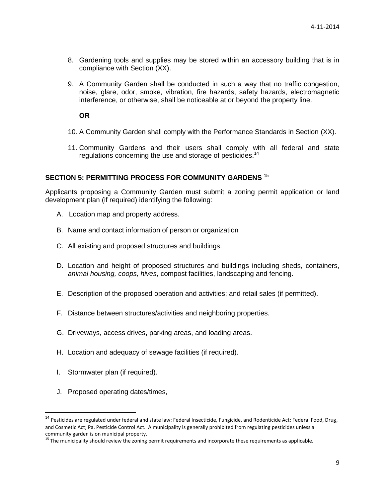- 8. Gardening tools and supplies may be stored within an accessory building that is in compliance with Section (XX).
- 9. A Community Garden shall be conducted in such a way that no traffic congestion, noise, glare, odor, smoke, vibration, fire hazards, safety hazards, electromagnetic interference, or otherwise, shall be noticeable at or beyond the property line.

**OR**

- 10. A Community Garden shall comply with the Performance Standards in Section (XX).
- 11. Community Gardens and their users shall comply with all federal and state regulations concerning the use and storage of pesticides.<sup>14</sup>

# **SECTION 5: PERMITTING PROCESS FOR COMMUNITY GARDENS** <sup>15</sup>

Applicants proposing a Community Garden must submit a zoning permit application or land development plan (if required) identifying the following:

- A. Location map and property address.
- B. Name and contact information of person or organization
- C. All existing and proposed structures and buildings.
- D. Location and height of proposed structures and buildings including sheds, containers, *animal housing, coops, hives*, compost facilities, landscaping and fencing.
- E. Description of the proposed operation and activities; and retail sales (if permitted).
- F. Distance between structures/activities and neighboring properties.
- G. Driveways, access drives, parking areas, and loading areas.
- H. Location and adequacy of sewage facilities (if required).
- I. Stormwater plan (if required).

 $\overline{a}$ 

J. Proposed operating dates/times,

 $^{14}$  Pesticides are regulated under federal and state law: Federal Insecticide, Fungicide, and Rodenticide Act; Federal Food, Drug, and Cosmetic Act; Pa. Pesticide Control Act. A municipality is generally prohibited from regulating pesticides unless a community garden is on municipal property.

<sup>&</sup>lt;sup>15</sup> The municipality should review the zoning permit requirements and incorporate these requirements as applicable.